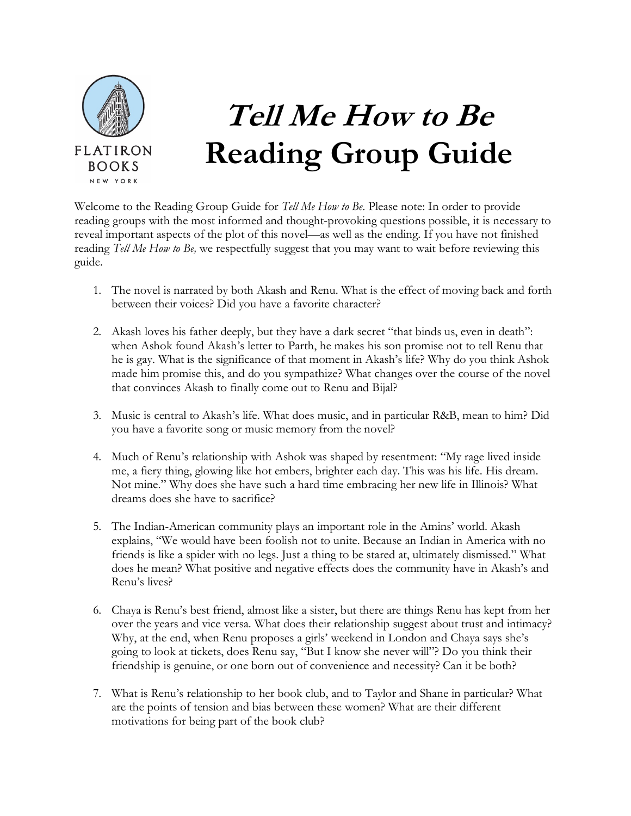

## **Tell Me How to Be Reading Group Guide**

Welcome to the Reading Group Guide for *Tell Me How to Be*. Please note: In order to provide reading groups with the most informed and thought-provoking questions possible, it is necessary to reveal important aspects of the plot of this novel—as well as the ending. If you have not finished reading *Tell Me How to Be,* we respectfully suggest that you may want to wait before reviewing this guide.

- 1. The novel is narrated by both Akash and Renu. What is the effect of moving back and forth between their voices? Did you have a favorite character?
- 2. Akash loves his father deeply, but they have a dark secret "that binds us, even in death": when Ashok found Akash's letter to Parth, he makes his son promise not to tell Renu that he is gay. What is the significance of that moment in Akash's life? Why do you think Ashok made him promise this, and do you sympathize? What changes over the course of the novel that convinces Akash to finally come out to Renu and Bijal?
- 3. Music is central to Akash's life. What does music, and in particular R&B, mean to him? Did you have a favorite song or music memory from the novel?
- 4. Much of Renu's relationship with Ashok was shaped by resentment: "My rage lived inside me, a fiery thing, glowing like hot embers, brighter each day. This was his life. His dream. Not mine." Why does she have such a hard time embracing her new life in Illinois? What dreams does she have to sacrifice?
- 5. The Indian-American community plays an important role in the Amins' world. Akash explains, "We would have been foolish not to unite. Because an Indian in America with no friends is like a spider with no legs. Just a thing to be stared at, ultimately dismissed." What does he mean? What positive and negative effects does the community have in Akash's and Renu's lives?
- 6. Chaya is Renu's best friend, almost like a sister, but there are things Renu has kept from her over the years and vice versa. What does their relationship suggest about trust and intimacy? Why, at the end, when Renu proposes a girls' weekend in London and Chaya says she's going to look at tickets, does Renu say, "But I know she never will"? Do you think their friendship is genuine, or one born out of convenience and necessity? Can it be both?
- 7. What is Renu's relationship to her book club, and to Taylor and Shane in particular? What are the points of tension and bias between these women? What are their different motivations for being part of the book club?